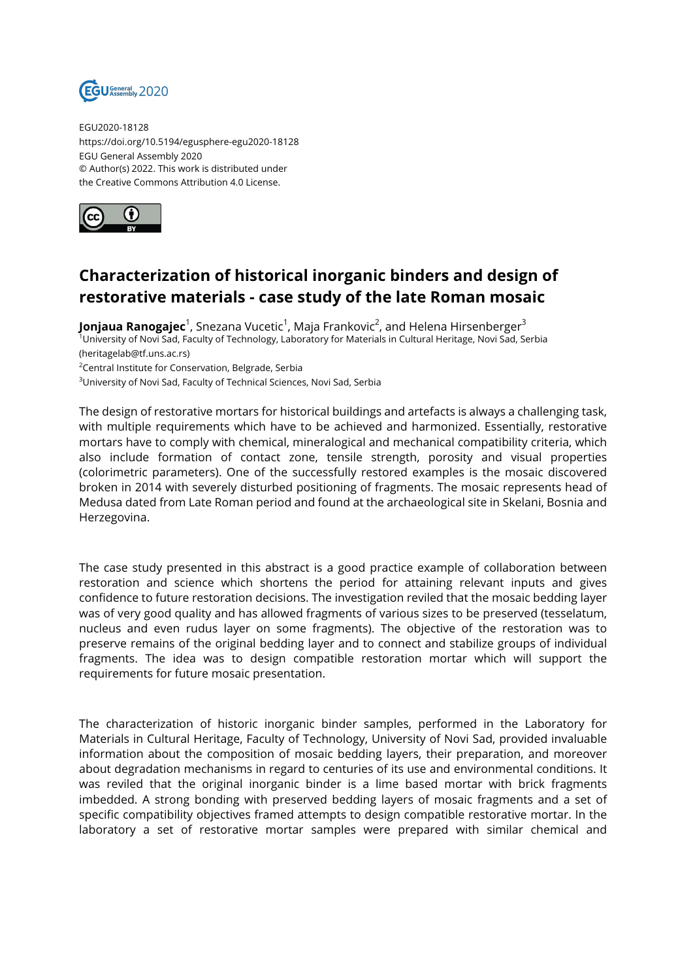

EGU2020-18128 https://doi.org/10.5194/egusphere-egu2020-18128 EGU General Assembly 2020 © Author(s) 2022. This work is distributed under the Creative Commons Attribution 4.0 License.



## **Characterization of historical inorganic binders and design of restorative materials - case study of the late Roman mosaic**

**Jonjaua Ranogajec**<sup>1</sup>, Snezana Vucetic<sup>1</sup>, Maja Frankovic<sup>2</sup>, and Helena Hirsenberger<sup>3</sup>  $^{\rm 1}$ University of Novi Sad, Faculty of Technology, Laboratory for Materials in Cultural Heritage, Novi Sad, Serbia (heritagelab@tf.uns.ac.rs)

<sup>2</sup>Central Institute for Conservation, Belgrade, Serbia

<sup>3</sup>University of Novi Sad, Faculty of Technical Sciences, Novi Sad, Serbia

The design of restorative mortars for historical buildings and artefacts is always a challenging task, with multiple requirements which have to be achieved and harmonized. Essentially, restorative mortars have to comply with chemical, mineralogical and mechanical compatibility criteria, which also include formation of contact zone, tensile strength, porosity and visual properties (colorimetric parameters). One of the successfully restored examples is the mosaic discovered broken in 2014 with severely disturbed positioning of fragments. The mosaic represents head of Medusa dated from Late Roman period and found at the archaeological site in Skelani, Bosnia and Herzegovina.

The case study presented in this abstract is a good practice example of collaboration between restoration and science which shortens the period for attaining relevant inputs and gives confidence to future restoration decisions. The investigation reviled that the mosaic bedding layer was of very good quality and has allowed fragments of various sizes to be preserved (tesselatum, nucleus and even rudus layer on some fragments). The objective of the restoration was to preserve remains of the original bedding layer and to connect and stabilize groups of individual fragments. The idea was to design compatible restoration mortar which will support the requirements for future mosaic presentation.

The characterization of historic inorganic binder samples, performed in the Laboratory for Materials in Cultural Heritage, Faculty of Technology, University of Novi Sad, provided invaluable information about the composition of mosaic bedding layers, their preparation, and moreover about degradation mechanisms in regard to centuries of its use and environmental conditions. It was reviled that the original inorganic binder is a lime based mortar with brick fragments imbedded. A strong bonding with preserved bedding layers of mosaic fragments and a set of specific compatibility objectives framed attempts to design compatible restorative mortar. In the laboratory a set of restorative mortar samples were prepared with similar chemical and